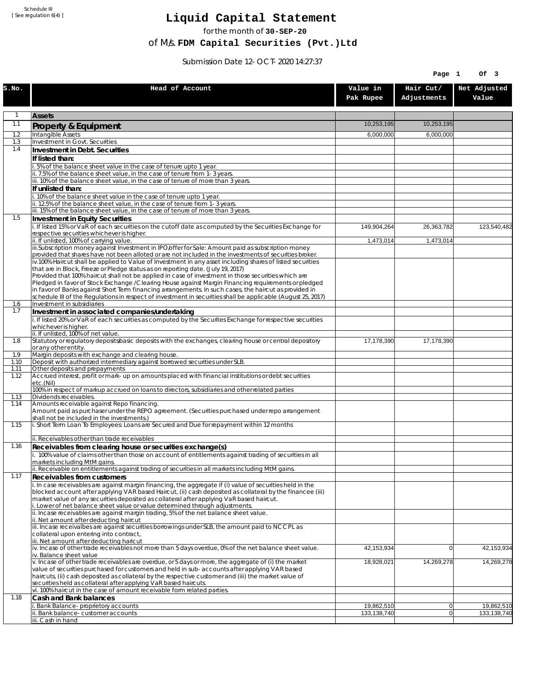Schedule III [ See regulation 6(4) ]

## **Liquid Capital Statement**

for the month of **30-SEP-20**

of M/s. **FDM Capital Securities (Pvt.)Ltd**

Submission Date 12-OCT-2020 14:27:37

|              |                                                                                                                                                                                                                        |                           | Page 1                   | Of 3                        |
|--------------|------------------------------------------------------------------------------------------------------------------------------------------------------------------------------------------------------------------------|---------------------------|--------------------------|-----------------------------|
| S.NO.        | Head of Account                                                                                                                                                                                                        | Value in<br>Pak Rupee     | Hair Cut/<br>Adjustments | Net Adjusted<br>Value       |
| 1            | <b>Assets</b>                                                                                                                                                                                                          |                           |                          |                             |
| 1.1          | Property & Equipment                                                                                                                                                                                                   | 10,253,195                | 10,253,195               |                             |
| 1.2          | Intangible Assets                                                                                                                                                                                                      | 6,000,000                 | 6,000,000                |                             |
| 1.3<br>1.4   | Investment in Govt. Securities                                                                                                                                                                                         |                           |                          |                             |
|              | Investment in Debt. Securities<br>If listed than:                                                                                                                                                                      |                           |                          |                             |
|              | i. 5% of the balance sheet value in the case of tenure upto 1 year.                                                                                                                                                    |                           |                          |                             |
|              | ii. 7.5% of the balance sheet value, in the case of tenure from 1-3 years.                                                                                                                                             |                           |                          |                             |
|              | iii. 10% of the balance sheet value, in the case of tenure of more than 3 years.<br>If unlisted than:                                                                                                                  |                           |                          |                             |
|              | i. 10% of the balance sheet value in the case of tenure upto 1 year.                                                                                                                                                   |                           |                          |                             |
|              | ii. 12.5% of the balance sheet value, in the case of tenure from 1-3 years.                                                                                                                                            |                           |                          |                             |
| 1.5          | iii. 15% of the balance sheet value, in the case of tenure of more than 3 years.                                                                                                                                       |                           |                          |                             |
|              | Investment in Equity Securities<br>i. If listed 15% or VaR of each securities on the cutoff date as computed by the Securities Exchange for                                                                            | 149,904,264               | 26,363,782               | 123,540,482                 |
|              | respective securities whichever is higher.                                                                                                                                                                             |                           |                          |                             |
|              | ii. If unlisted, 100% of carrying value.<br>iii.Subscription money against Investment in IPO/offer for Sale: Amount paid as subscription money                                                                         | 1,473,014                 | 1,473,014                |                             |
|              | provided that shares have not been alloted or are not included in the investments of securities broker.                                                                                                                |                           |                          |                             |
|              | $iv.100%$ Haircut shall be applied to Value of Investment in any asset including shares of listed securities                                                                                                           |                           |                          |                             |
|              | that are in Block, Freeze or Pledge status as on reporting date. (July 19, 2017)<br>Provided that 100% haircut shall not be applied in case of investment in those securities which are                                |                           |                          |                             |
|              | Pledged in favor of Stock Exchange / Clearing House against Margin Financing requirements or pledged                                                                                                                   |                           |                          |                             |
|              | in favor of Banks against Short Term financing arrangements. In such cases, the haircut as provided in                                                                                                                 |                           |                          |                             |
| 1.6          | schedule III of the Regulations in respect of investment in securities shall be applicable (August 25, 2017)<br>Investment in subsidiaries                                                                             |                           |                          |                             |
| 1.7          | Investment in associated companies/undertaking                                                                                                                                                                         |                           |                          |                             |
|              | i. If listed 20% or VaR of each securities as computed by the Securites Exchange for respective securities                                                                                                             |                           |                          |                             |
|              | whichever is higher.<br>ii. If unlisted, 100% of net value.                                                                                                                                                            |                           |                          |                             |
| 1.8          | Statutory or regulatory deposits/basic deposits with the exchanges, clearing house or central depository                                                                                                               | 17,178,390                | 17,178,390               |                             |
| 1.9          | or any other entity.<br>Margin deposits with exchange and clearing house.                                                                                                                                              |                           |                          |                             |
| 1.10         | Deposit with authorized intermediary against borrowed securities under SLB.                                                                                                                                            |                           |                          |                             |
| 1.11         | Other deposits and prepayments                                                                                                                                                                                         |                           |                          |                             |
| 1.12         | Accrued interest, profit or mark-up on amounts placed with financial institutions or debt securities<br>etc.(Nil)                                                                                                      |                           |                          |                             |
|              | 100% in respect of markup accrued on loans to directors, subsidiaries and other related parties                                                                                                                        |                           |                          |                             |
| 1.13<br>1.14 | Dividends receivables.<br>Amounts receivable against Repo financing.                                                                                                                                                   |                           |                          |                             |
|              | Amount paid as purchaser under the REPO agreement. (Securities purchased under repo arrangement                                                                                                                        |                           |                          |                             |
| 1.15         | shall not be included in the investments.)<br>i. Short Term Loan To Employees: Loans are Secured and Due for repayment within 12 months                                                                                |                           |                          |                             |
|              |                                                                                                                                                                                                                        |                           |                          |                             |
|              | ii. Receivables other than trade receivables                                                                                                                                                                           |                           |                          |                             |
| 1.16         | Receivables from clearing house or securities exchange(s)                                                                                                                                                              |                           |                          |                             |
|              | i. 100% value of claims other than those on account of entitlements against trading of securities in all<br>markets including MtM gains.                                                                               |                           |                          |                             |
|              | ii. Receivable on entitlements against trading of securities in all markets including MtM gains.                                                                                                                       |                           |                          |                             |
| 1.17         | Receivables from customers                                                                                                                                                                                             |                           |                          |                             |
|              | i. In case receivables are against margin financing, the aggregate if (i) value of securities held in the<br>blocked account after applying VAR based Haircut, (ii) cash deposited as collateral by the financee (iii) |                           |                          |                             |
|              | market value of any securities deposited as collateral after applying VaR based haircut.                                                                                                                               |                           |                          |                             |
|              | i. Lower of net balance sheet value or value determined through adjustments.<br>ii. Incase receivables are against margin trading, 5% of the net balance sheet value.                                                  |                           |                          |                             |
|              | ii. Net amount after deducting haircut                                                                                                                                                                                 |                           |                          |                             |
|              | iii. Incase receivalbes are against securities borrowings under SLB, the amount paid to NCCPL as<br>collateral upon entering into contract,                                                                            |                           |                          |                             |
|              | iii. Net amount after deducting haricut                                                                                                                                                                                |                           |                          |                             |
|              | $iv.$ Incase of other trade receivables not more than 5 days overdue, 0% of the net balance sheet value.                                                                                                               | 42,153,934                | $\overline{0}$           | 42,153,934                  |
|              | iv. Balance sheet value<br>v. Incase of other trade receivables are overdue, or 5 days or more, the aggregate of (i) the market                                                                                        | 18,928,021                | 14,269,278               | 14,269,278                  |
|              | value of securities purchased for customers and held in sub-accounts after applying VAR based                                                                                                                          |                           |                          |                             |
|              | haircuts, (ii) cash deposited as collateral by the respective customer and (iii) the market value of<br>securities held as collateral after applying VaR based haircuts.                                               |                           |                          |                             |
|              | vi. 100% haircut in the case of amount receivable form related parties.                                                                                                                                                |                           |                          |                             |
| 1.18         | Cash and Bank balances                                                                                                                                                                                                 |                           |                          |                             |
|              | i. Bank Balance-proprietory accounts<br>ii. Bank balance-customer accounts                                                                                                                                             | 19,862,510<br>133,138,740 | 0 <br>$\overline{0}$     | 19,862,510<br>133, 138, 740 |
|              | iii. Cash in hand                                                                                                                                                                                                      |                           |                          |                             |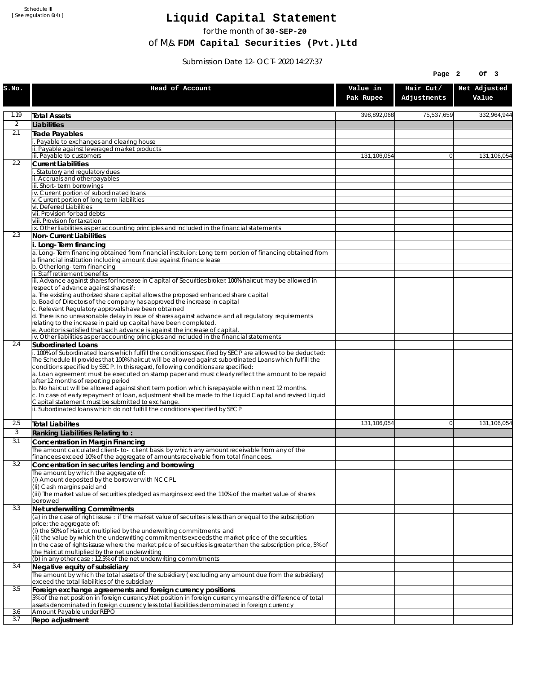Schedule III [ See regulation 6(4) ]

## **Liquid Capital Statement**

for the month of **30-SEP-20**

of M/s. **FDM Capital Securities (Pvt.)Ltd**

Submission Date 12-OCT-2020 14:27:37

|                |                                                                                                                                                                                                                                                                    |                       | Page 2                   | Of 3                  |
|----------------|--------------------------------------------------------------------------------------------------------------------------------------------------------------------------------------------------------------------------------------------------------------------|-----------------------|--------------------------|-----------------------|
| S.NO.          | Head of Account                                                                                                                                                                                                                                                    | Value in<br>Pak Rupee | Hair Cut/<br>Adjustments | Net Adjusted<br>Value |
| 1.19           | <b>Total Assets</b>                                                                                                                                                                                                                                                | 398,892,068           | 75,537,659               | 332,964,944           |
| $\overline{2}$ | Liabilities                                                                                                                                                                                                                                                        |                       |                          |                       |
| 2.1            | Trade Payables                                                                                                                                                                                                                                                     |                       |                          |                       |
|                | Payable to exchanges and clearing house<br>Payable against leveraged market products                                                                                                                                                                               |                       |                          |                       |
|                | iii. Payable to customers                                                                                                                                                                                                                                          | 131,106,054           | $\overline{0}$           | 131,106,054           |
| 2.2            | <b>Current Liabilities</b>                                                                                                                                                                                                                                         |                       |                          |                       |
|                | Statutory and regulatory dues<br>ii. Accruals and other payables                                                                                                                                                                                                   |                       |                          |                       |
|                | iii. Short-term borrowinas                                                                                                                                                                                                                                         |                       |                          |                       |
|                | iv. Current portion of subordinated loans                                                                                                                                                                                                                          |                       |                          |                       |
|                | v. Current portion of long term liabilities<br>vi. Deferred Liabilities                                                                                                                                                                                            |                       |                          |                       |
|                | vii. Provision for bad debts                                                                                                                                                                                                                                       |                       |                          |                       |
|                | viii. Provision for taxation<br>ix. Other liabilities as per accounting principles and included in the financial statements                                                                                                                                        |                       |                          |                       |
| 2.3            | Non-Current Liabilities                                                                                                                                                                                                                                            |                       |                          |                       |
|                | i. Long-Term financing                                                                                                                                                                                                                                             |                       |                          |                       |
|                | a. Long-Term financing obtained from financial instituion: Long term portion of financing obtained from<br>a financial institution including amount due against finance lease                                                                                      |                       |                          |                       |
|                | b. Other long-term financing<br>ii. Staff retirement benefits                                                                                                                                                                                                      |                       |                          |                       |
|                | iii. Advance against shares for Increase in Capital of Securities broker: 100% haircut may be allowed in                                                                                                                                                           |                       |                          |                       |
|                | respect of advance against shares if:                                                                                                                                                                                                                              |                       |                          |                       |
|                | a. The existing authorized share capital allows the proposed enhanced share capital<br>b. Boad of Directors of the company has approved the increase in capital                                                                                                    |                       |                          |                       |
|                | c. Relevant Regulatory approvals have been obtained                                                                                                                                                                                                                |                       |                          |                       |
|                | d. There is no unreasonable delay in issue of shares against advance and all regulatory requirements<br>relating to the increase in paid up capital have been completed.                                                                                           |                       |                          |                       |
|                | e. Auditor is satisfied that such advance is against the increase of capital.                                                                                                                                                                                      |                       |                          |                       |
| 2.4            | iv. Other liabilities as per accounting principles and included in the financial statements                                                                                                                                                                        |                       |                          |                       |
|                | Subordinated Loans<br>. 100% of Subordinated loans which fulfill the conditions specified by SECP are allowed to be deducted:                                                                                                                                      |                       |                          |                       |
|                | The Schedule III provides that 100% haircut will be allowed against subordinated Loans which fulfill the                                                                                                                                                           |                       |                          |                       |
|                | conditions specified by SECP. In this regard, following conditions are specified:<br>a. Loan agreement must be executed on stamp paper and must clearly reflect the amount to be repaid                                                                            |                       |                          |                       |
|                | after 12 months of reporting period                                                                                                                                                                                                                                |                       |                          |                       |
|                | b. No haircut will be allowed against short term portion which is repayable within next 12 months.<br>c. In case of early repayment of loan, adjustment shall be made to the Liquid Capital and revised Liquid<br>Capital statement must be submitted to exchange. |                       |                          |                       |
|                | ii. Subordinated loans which do not fulfill the conditions specified by SECP                                                                                                                                                                                       |                       |                          |                       |
| 2.5            | <b>Total Liabilites</b>                                                                                                                                                                                                                                            | 131,106,054           | $\Omega$                 | 131,106,054           |
| 3              | Ranking Liabilities Relating to:                                                                                                                                                                                                                                   |                       |                          |                       |
| 3.1            | Concentration in Margin Financing                                                                                                                                                                                                                                  |                       |                          |                       |
|                | The amount calculated client-to- client basis by which any amount receivable from any of the<br>financees exceed 10% of the aggregate of amounts receivable from total financees.                                                                                  |                       |                          |                       |
| 3.2            | Concentration in securites lending and borrowing                                                                                                                                                                                                                   |                       |                          |                       |
|                | The amount by which the aggregate of:                                                                                                                                                                                                                              |                       |                          |                       |
|                | (i) Amount deposited by the borrower with NCCPL<br>(Ii) Cash margins paid and                                                                                                                                                                                      |                       |                          |                       |
|                | (iii) The market value of securities pledged as margins exceed the 110% of the market value of shares                                                                                                                                                              |                       |                          |                       |
| 3.3            | borrowed                                                                                                                                                                                                                                                           |                       |                          |                       |
|                | Net underwriting Commitments<br>(a) in the case of right issuse : if the market value of securites is less than or equal to the subscription                                                                                                                       |                       |                          |                       |
|                | price; the aggregate of:                                                                                                                                                                                                                                           |                       |                          |                       |
| 3.4            | (i) the 50% of Haircut multiplied by the underwriting commitments and<br>(ii) the value by which the underwriting commitments exceeds the market price of the securities.                                                                                          |                       |                          |                       |
|                | In the case of rights issuse where the market price of securities is greater than the subscription price, 5% of                                                                                                                                                    |                       |                          |                       |
|                | the Haircut multiplied by the net underwriting                                                                                                                                                                                                                     |                       |                          |                       |
|                | (b) in any other case: 12.5% of the net underwriting commitments<br>Negative equity of subsidiary                                                                                                                                                                  |                       |                          |                       |
|                | The amount by which the total assets of the subsidiary (excluding any amount due from the subsidiary)                                                                                                                                                              |                       |                          |                       |
|                | exceed the total liabilities of the subsidiary                                                                                                                                                                                                                     |                       |                          |                       |
| 3.5            | Foreign exchange agreements and foreign currency positions<br>5% of the net position in foreign currency. Net position in foreign currency means the difference of total                                                                                           |                       |                          |                       |
|                | assets denominated in foreign cuurency less total liabilities denominated in foreign currency                                                                                                                                                                      |                       |                          |                       |
| 3.6            | Amount Payable under REPO                                                                                                                                                                                                                                          |                       |                          |                       |
| 3.7            | Repo adjustment                                                                                                                                                                                                                                                    |                       |                          |                       |